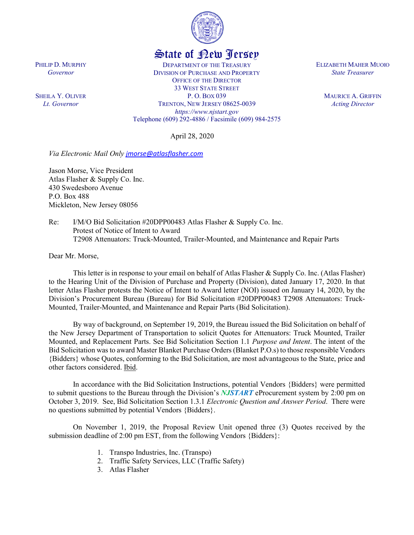

## State of New Jersey

DEPARTMENT OF THE TREASURY DIVISION OF PURCHASE AND PROPERTY OFFICE OF THE DIRECTOR 33 WEST STATE STREET P. O. BOX 039 TRENTON, NEW JERSEY 08625-0039 *https://www.njstart.gov* Telephone (609) 292-4886 / Facsimile (609) 984-2575

April 28, 2020

*Via Electronic Mail Only [jmorse@atlasflasher.com](mailto:jmorse@atlasflasher.com)*

Jason Morse, Vice President Atlas Flasher & Supply Co. Inc. 430 Swedesboro Avenue P.O. Box 488 Mickleton, New Jersey 08056

Re: I/M/O Bid Solicitation #20DPP00483 Atlas Flasher & Supply Co. Inc. Protest of Notice of Intent to Award T2908 Attenuators: Truck-Mounted, Trailer-Mounted, and Maintenance and Repair Parts

Dear Mr. Morse,

This letter is in response to your email on behalf of Atlas Flasher & Supply Co. Inc. (Atlas Flasher) to the Hearing Unit of the Division of Purchase and Property (Division), dated January 17, 2020. In that letter Atlas Flasher protests the Notice of Intent to Award letter (NOI) issued on January 14, 2020, by the Division's Procurement Bureau (Bureau) for Bid Solicitation #20DPP00483 T2908 Attenuators: Truck-Mounted, Trailer-Mounted, and Maintenance and Repair Parts (Bid Solicitation).

By way of background, on September 19, 2019, the Bureau issued the Bid Solicitation on behalf of the New Jersey Department of Transportation to solicit Quotes for Attenuators: Truck Mounted, Trailer Mounted, and Replacement Parts. See Bid Solicitation Section 1.1 *Purpose and Intent*. The intent of the Bid Solicitation was to award Master Blanket Purchase Orders (Blanket P.O.s) to those responsible Vendors {Bidders} whose Quotes, conforming to the Bid Solicitation, are most advantageous to the State, price and other factors considered. Ibid.

In accordance with the Bid Solicitation Instructions, potential Vendors {Bidders} were permitted to submit questions to the Bureau through the Division's *NJSTART* eProcurement system by 2:00 pm on October 3, 2019. See, Bid Solicitation Section 1.3.1 *Electronic Question and Answer Period*. There were no questions submitted by potential Vendors {Bidders}.

On November 1, 2019, the Proposal Review Unit opened three (3) Quotes received by the submission deadline of 2:00 pm EST, from the following Vendors {Bidders}:

- 1. Transpo Industries, Inc. (Transpo)
- 2. Traffic Safety Services, LLC (Traffic Safety)
- 3. Atlas Flasher

ELIZABETH MAHER MUOIO *State Treasurer*

> MAURICE A. GRIFFIN *Acting Director*

PHILIP D. MURPHY *Governor*

SHEILA Y. OLIVER *Lt. Governor*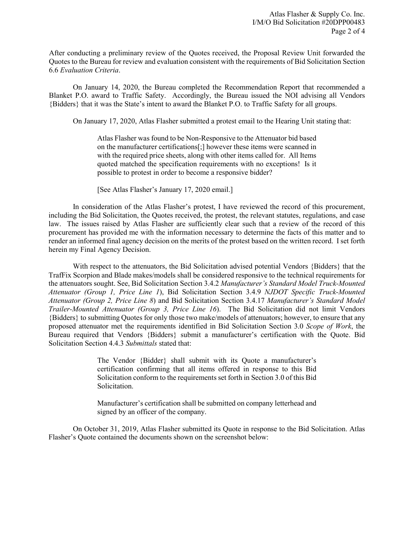After conducting a preliminary review of the Quotes received, the Proposal Review Unit forwarded the Quotes to the Bureau for review and evaluation consistent with the requirements of Bid Solicitation Section 6.6 *Evaluation Criteria*.

On January 14, 2020, the Bureau completed the Recommendation Report that recommended a Blanket P.O. award to Traffic Safety. Accordingly, the Bureau issued the NOI advising all Vendors {Bidders} that it was the State's intent to award the Blanket P.O. to Traffic Safety for all groups.

On January 17, 2020, Atlas Flasher submitted a protest email to the Hearing Unit stating that:

Atlas Flasher was found to be Non-Responsive to the Attenuator bid based on the manufacturer certifications[;] however these items were scanned in with the required price sheets, along with other items called for. All Items quoted matched the specification requirements with no exceptions! Is it possible to protest in order to become a responsive bidder?

[See Atlas Flasher's January 17, 2020 email.]

In consideration of the Atlas Flasher's protest, I have reviewed the record of this procurement, including the Bid Solicitation, the Quotes received, the protest, the relevant statutes, regulations, and case law. The issues raised by Atlas Flasher are sufficiently clear such that a review of the record of this procurement has provided me with the information necessary to determine the facts of this matter and to render an informed final agency decision on the merits of the protest based on the written record. I set forth herein my Final Agency Decision.

With respect to the attenuators, the Bid Solicitation advised potential Vendors {Bidders} that the TrafFix Scorpion and Blade makes/models shall be considered responsive to the technical requirements for the attenuators sought. See, Bid Solicitation Section 3.4.2 *Manufacturer's Standard Model Truck-Mounted Attenuator (Group 1, Price Line 1*), Bid Solicitation Section 3.4.9 *NJDOT Specific Truck-Mounted Attenuator (Group 2, Price Line 8*) and Bid Solicitation Section 3.4.17 *Manufacturer's Standard Model Trailer-Mounted Attenuator (Group 3, Price Line 16*). The Bid Solicitation did not limit Vendors {Bidders} to submitting Quotes for only those two make/models of attenuators; however, to ensure that any proposed attenuator met the requirements identified in Bid Solicitation Section 3.0 *Scope of Work*, the Bureau required that Vendors {Bidders} submit a manufacturer's certification with the Quote. Bid Solicitation Section 4.4.3 *Submittals* stated that:

> The Vendor {Bidder} shall submit with its Quote a manufacturer's certification confirming that all items offered in response to this Bid Solicitation conform to the requirements set forth in Section 3.0 of this Bid Solicitation.

> Manufacturer's certification shall be submitted on company letterhead and signed by an officer of the company.

On October 31, 2019, Atlas Flasher submitted its Quote in response to the Bid Solicitation. Atlas Flasher's Quote contained the documents shown on the screenshot below: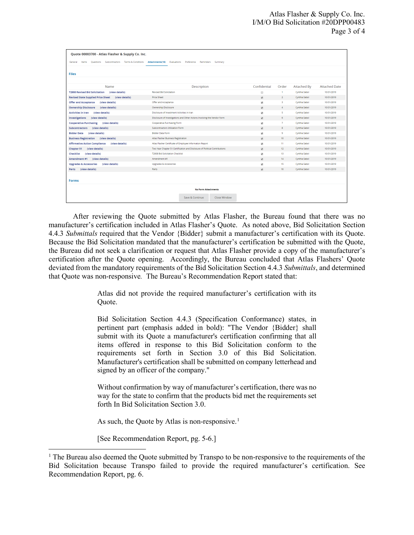| Quote 00003700 - Atlas Flasher & Supply Co. Inc.                   |                                                                             |                          |                         |               |                      |
|--------------------------------------------------------------------|-----------------------------------------------------------------------------|--------------------------|-------------------------|---------------|----------------------|
| Subcontractors Terms & Conditions<br>General<br>Items<br>Ouestions | Attachments(16)<br>Evaluations<br>Preference<br>Reminders Summary           |                          |                         |               |                      |
| <b>Files</b>                                                       |                                                                             |                          |                         |               |                      |
|                                                                    |                                                                             |                          |                         |               |                      |
|                                                                    |                                                                             |                          |                         |               |                      |
| Name                                                               | Description                                                                 | Confidential             | Order                   | Attached By   | <b>Attached Date</b> |
| (view details)<br><b>T2908 Revised Bid Solicitation</b>            | <b>Revised Bid Solicitation</b>                                             | $\Box$                   | 1                       | Cynthia Sabol | 10/31/2019           |
| <b>Revised State Supplied Price Sheet</b><br>(view details)        | <b>Price Sheet</b>                                                          | $\overline{\mathbf{v}}$  | $\overline{2}$          | Cynthia Sabol | 10/31/2019           |
| <b>Offer and Acceptance</b><br>(view details)                      | Offer and Acceptance                                                        | $\blacktriangledown$     | $\overline{\mathbf{3}}$ | Cynthia Sabol | 10/31/2019           |
| <b>Ownership Disclosure</b><br>(view details)                      | <b>Ownership Disclosure</b>                                                 | $\overline{\mathbf{v}}$  | 4                       | Cynthia Sabol | 10/31/2019           |
| <b>Activities in Iran</b><br>(view details)                        | Disclosure of Investment Activities in Iran                                 | $\blacktriangledown$     | -5                      | Cynthia Sabol | 10/31/2019           |
| <b>Investigations</b><br>(view details)                            | Disclosure of Investigations and Other Actions Involving the Vendor Form    | $\overline{\mathcal{L}}$ | 6                       | Cynthia Sabol | 10/31/2019           |
| (view details)<br><b>Cooperative Purchasing</b>                    | Cooperative Purchasing Form                                                 | $\overline{\mathbf{v}}$  | $\overline{7}$          | Cynthia Sabol | 10/31/2019           |
| (view details)<br><b>Subcontractors</b>                            | Subcontractors Utilization Form                                             | $\overline{\mathbf{v}}$  | 8                       | Cynthia Sabol | 10/31/2019           |
| (view details)<br><b>Bidder Data</b>                               | <b>Bidder Data Form</b>                                                     | $\blacktriangledown$     | $\mathbf{9}$            | Cynthia Sabol | 10/31/2019           |
| (view details)<br><b>Business Registration</b>                     | Atlas Flasher Business Registration                                         | $\overline{\mathcal{L}}$ | 10 <sup>°</sup>         | Cynthia Sabol | 10/31/2019           |
| <b>Affirmative Action Compliance</b><br>(view details)             | Atlas Flasher Certificate of Employee Information Report                    | $\overline{\mathbf{v}}$  | 11                      | Cynthia Sabol | 10/31/2019           |
| <b>Chapter 51</b><br>(view details)                                | Two Year Chapter 51 Certification and Disclosure of Political Contributions | $\overline{\mathcal{L}}$ | 12                      | Cynthia Sabol | 10/31/2019           |
| (view details)<br>Checklist                                        | <b>T2908 Bid Solicitation Checklist</b>                                     | $\overline{\mathbf{v}}$  | 13                      | Cynthia Sabol | 10/31/2019           |
| Amendment #1 (view details)                                        | Amendment #1                                                                | $\overline{\mathcal{L}}$ | 14                      | Cynthia Sabol | 10/31/2019           |
| <b>Upgrades &amp; Accessories</b><br>(view details)                | <b>Upgrades &amp; Accessories</b>                                           | $\overline{\mathbf{v}}$  | 15                      | Cynthia Sabol | 10/31/2019           |
| (view details)<br>Parts                                            | <b>Parts</b>                                                                | $\blacktriangleright$    | 16                      | Cynthia Sabol | 10/31/2019           |
|                                                                    |                                                                             |                          |                         |               |                      |
| <b>Forms</b>                                                       |                                                                             |                          |                         |               |                      |
| <b>No Form Attachments</b>                                         |                                                                             |                          |                         |               |                      |
|                                                                    | Save & Continue<br><b>Close Window</b>                                      |                          |                         |               |                      |

After reviewing the Quote submitted by Atlas Flasher, the Bureau found that there was no manufacturer's certification included in Atlas Flasher's Quote. As noted above, Bid Solicitation Section 4.4.3 *Submittals* required that the Vendor {Bidder} submit a manufacturer's certification with its Quote. Because the Bid Solicitation mandated that the manufacturer's certification be submitted with the Quote, the Bureau did not seek a clarification or request that Atlas Flasher provide a copy of the manufacturer's certification after the Quote opening. Accordingly, the Bureau concluded that Atlas Flashers' Quote deviated from the mandatory requirements of the Bid Solicitation Section 4.4.3 *Submittals*, and determined that Quote was non-responsive*.* The Bureau's Recommendation Report stated that:

> Atlas did not provide the required manufacturer's certification with its Quote.

> Bid Solicitation Section 4.4.3 (Specification Conformance) states, in pertinent part (emphasis added in bold): "The Vendor {Bidder} shall submit with its Quote a manufacturer's certification confirming that all items offered in response to this Bid Solicitation conform to the requirements set forth in Section 3.0 of this Bid Solicitation. Manufacturer's certification shall be submitted on company letterhead and signed by an officer of the company."

> Without confirmation by way of manufacturer's certification, there was no way for the state to confirm that the products bid met the requirements set forth In Bid Solicitation Section 3.0.

As such, the Quote by Atlas is non-responsive.<sup>[1](#page-2-0)</sup>

[See Recommendation Report, pg. 5-6.]

l

<span id="page-2-0"></span> $1$  The Bureau also deemed the Quote submitted by Transpo to be non-responsive to the requirements of the Bid Solicitation because Transpo failed to provide the required manufacturer's certification. See Recommendation Report, pg. 6.